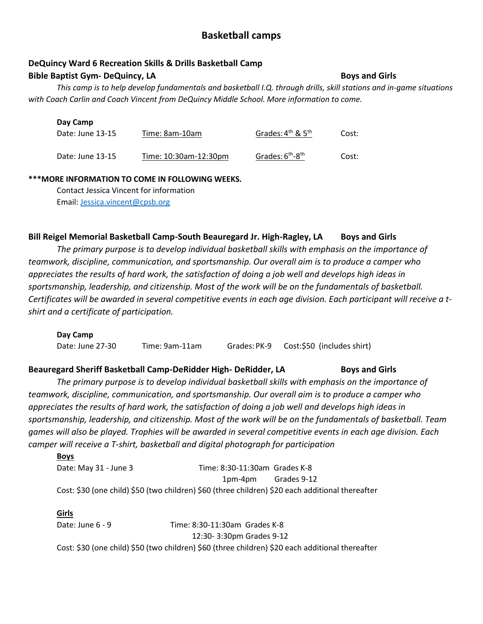# **Basketball camps**

# **DeQuincy Ward 6 Recreation Skills & Drills Basketball Camp**

# **Bible Baptist Gym- DeQuincy, LA** Boys and Girls

*This camp is to help develop fundamentals and basketball I.Q. through drills, skill stations and in-game situations with Coach Carlin and Coach Vincent from DeQuincy Middle School. More information to come.* 

#### **Day Camp**

| Date: June 13-15 | Time: 8am-10am        | Grades: $4th$ & $5th$                    | Cost: |
|------------------|-----------------------|------------------------------------------|-------|
| Date: June 13-15 | Time: 10:30am-12:30pm | Grades: 6 <sup>th</sup> -8 <sup>th</sup> | Cost: |

### **\*\*\*MORE INFORMATION TO COME IN FOLLOWING WEEKS.**

Contact Jessica Vincent for information Email: [Jessica.vincent@cpsb.org](mailto:Jessica.vincent@cpsb.org)

# **Bill Reigel Memorial Basketball Camp-South Beauregard Jr. High-Ragley, LA Boys and Girls**

*The primary purpose is to develop individual basketball skills with emphasis on the importance of teamwork, discipline, communication, and sportsmanship. Our overall aim is to produce a camper who appreciates the results of hard work, the satisfaction of doing a job well and develops high ideas in sportsmanship, leadership, and citizenship. Most of the work will be on the fundamentals of basketball. Certificates will be awarded in several competitive events in each age division. Each participant will receive a tshirt and a certificate of participation.*

# **Day Camp** Date: June 27-30 Time: 9am-11am Grades:PK-9 Cost:\$50 (includes shirt)

# **Beauregard Sheriff Basketball Camp-DeRidder High- DeRidder, LA Boys and Girls**

*The primary purpose is to develop individual basketball skills with emphasis on the importance of teamwork, discipline, communication, and sportsmanship. Our overall aim is to produce a camper who appreciates the results of hard work, the satisfaction of doing a job well and develops high ideas in sportsmanship, leadership, and citizenship. Most of the work will be on the fundamentals of basketball. Team games will also be played. Trophies will be awarded in several competitive events in each age division. Each camper will receive a T-shirt, basketball and digital photograph for participation*

| <b>Boys</b>                                                                                      |                               |             |
|--------------------------------------------------------------------------------------------------|-------------------------------|-------------|
| Date: May 31 - June 3                                                                            | Time: 8:30-11:30am Grades K-8 |             |
|                                                                                                  | 1pm-4pm                       | Grades 9-12 |
| Cost: \$30 (one child) \$50 (two children) \$60 (three children) \$20 each additional thereafter |                               |             |

## **Girls** Date: June 6 - 9 Time: 8:30-11:30am Grades K-8 12:30- 3:30pm Grades 9-12 Cost: \$30 (one child) \$50 (two children) \$60 (three children) \$20 each additional thereafter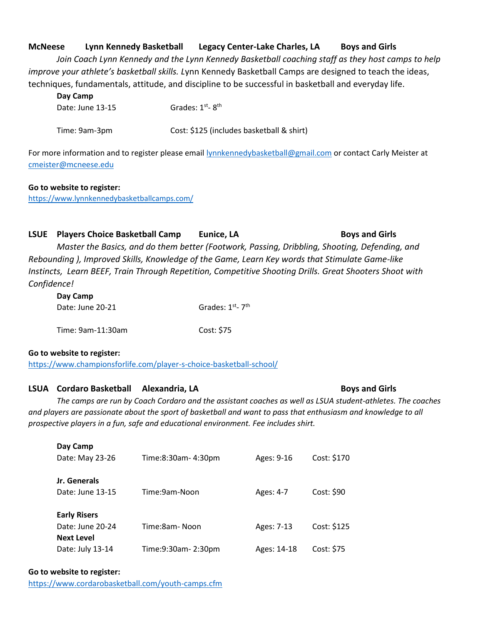## **McNeese Lynn Kennedy Basketball Legacy Center-Lake Charles, LA Boys and Girls**

*Join Coach Lynn Kennedy and the Lynn Kennedy Basketball coaching staff as they host camps to help improve your athlete's basketball skills. L*ynn Kennedy Basketball Camps are designed to teach the ideas, techniques, fundamentals, attitude, and discipline to be successful in basketball and everyday life.

| Day Camp         |                                           |
|------------------|-------------------------------------------|
| Date: June 13-15 | Grades: $1st - 8th$                       |
| Time: 9am-3pm    | Cost: \$125 (includes basketball & shirt) |

For more information and to register please emai[l lynnkennedybasketball@gmail.com](mailto:lynnkennedybasketball@gmail.com) or contact Carly Meister at [cmeister@mcneese.edu](mailto:cmeister@mcneese.edu)

#### **Go to website to register:**

<https://www.lynnkennedybasketballcamps.com/>

#### **LSUE** Players Choice Basketball Camp **Eunice, LA Boys and Girls**

*Master the Basics, and do them better (Footwork, Passing, Dribbling, Shooting, Defending, and Rebounding ), Improved Skills, Knowledge of the Game, Learn Key words that Stimulate Game-like Instincts, Learn BEEF, Train Through Repetition, Competitive Shooting Drills. Great Shooters Shoot with Confidence!*

| Day Camp         |                 |
|------------------|-----------------|
| Date: June 20-21 | Grades: 1st-7th |
|                  |                 |

| Time: 9am-11:30am | Cost: \$75 |
|-------------------|------------|
|                   |            |

#### **Go to website to register:**

<https://www.championsforlife.com/player-s-choice-basketball-school/>

### **LSUA Cordaro Basketball Alexandria, LA Boys and Girls**

*The camps are run by Coach Cordaro and the assistant coaches as well as LSUA student-athletes. The coaches*  and players are passionate about the sport of basketball and want to pass that enthusiasm and knowledge to all *prospective players in a fun, safe and educational environment. Fee includes shirt.*

| Day Camp<br>Date: May 23-26                                  | Time:8:30am-4:30pm  | Ages: 9-16  | Cost: \$170 |
|--------------------------------------------------------------|---------------------|-------------|-------------|
| Jr. Generals<br>Date: June 13-15                             | Time:9am-Noon       | Ages: 4-7   | Cost: \$90  |
| <b>Early Risers</b><br>Date: June 20-24<br><b>Next Level</b> | Time:8am-Noon       | Ages: 7-13  | Cost: \$125 |
| Date: July 13-14                                             | Time:9:30am- 2:30pm | Ages: 14-18 | Cost: \$75  |

#### **Go to website to register:**

<https://www.cordarobasketball.com/youth-camps.cfm>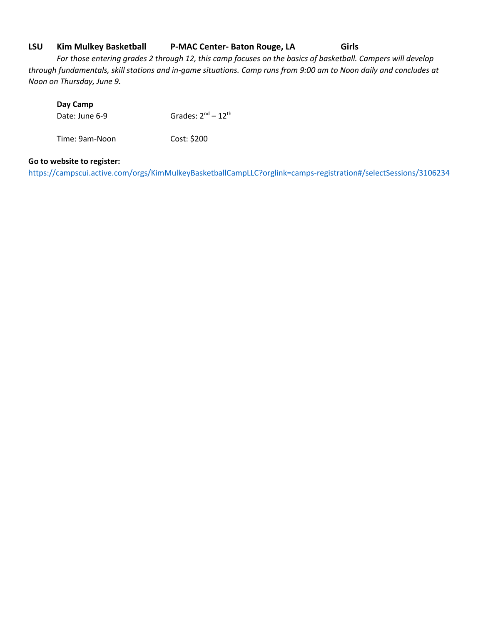### **LSU Kim Mulkey Basketball P-MAC Center- Baton Rouge, LA Girls**

*For those entering grades 2 through 12, this camp focuses on the basics of basketball. Campers will develop through fundamentals, skill stations and in-game situations. Camp runs from 9:00 am to Noon daily and concludes at Noon on Thursday, June 9.*

#### **Day Camp**

Date: June 6-9 Grades:  $2<sup>nd</sup> - 12<sup>th</sup>$ 

Time: 9am-Noon Cost: \$200

### **Go to website to register:**

<https://campscui.active.com/orgs/KimMulkeyBasketballCampLLC?orglink=camps-registration#/selectSessions/3106234>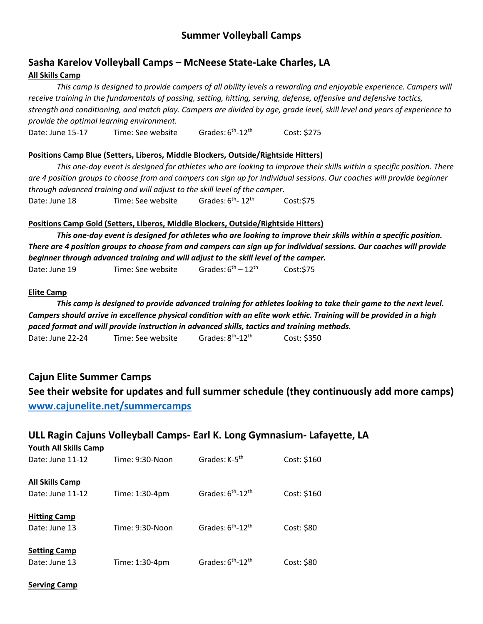# **Summer Volleyball Camps**

# **Sasha Karelov Volleyball Camps – McNeese State-Lake Charles, LA All Skills Camp**

*This camp is designed to provide campers of all ability levels a rewarding and enjoyable experience. Campers will receive training in the fundamentals of passing, setting, hitting, serving, defense, offensive and defensive tactics, strength and conditioning, and match play. Campers are divided by age, grade level, skill level and years of experience to provide the optimal learning environment.* 

Date: June 15-17 Time: See website Grades:  $6<sup>th</sup> - 12<sup>th</sup>$ Cost: \$275

#### **Positions Camp Blue (Setters, Liberos, Middle Blockers, Outside/Rightside Hitters)**

*This one-day event is designed for athletes who are looking to improve their skills within a specific position. There are 4 position groups to choose from and campers can sign up for individual sessions. Our coaches will provide beginner through advanced training and will adjust to the skill level of the camper.* 

Date: June 18 Time: See website Grades:  $6<sup>th</sup> - 12<sup>th</sup>$ Cost: \$75

#### **Positions Camp Gold (Setters, Liberos, Middle Blockers, Outside/Rightside Hitters)**

*This one-day event is designed for athletes who are looking to improve their skills within a specific position. There are 4 position groups to choose from and campers can sign up for individual sessions. Our coaches will provide beginner through advanced training and will adjust to the skill level of the camper.* Date: June 19 Time: See website  $G^{th} - 12^{th}$  $Cost: $75$ 

#### **Elite Camp**

*This camp is designed to provide advanced training for athletes looking to take their game to the next level. Campers should arrive in excellence physical condition with an elite work ethic. Training will be provided in a high paced format and will provide instruction in advanced skills, tactics and training methods.* Date: June 22-24 Time: See website Grades: 8<sup>th</sup>-12<sup>th</sup> Cost: \$350

**Cajun Elite Summer Camps See their website for updates and full summer schedule (they continuously add more camps) [www.cajunelite.net/summercamps](http://www.cajunelite.net/summercamps)**

# **ULL Ragin Cajuns Volleyball Camps- Earl K. Long Gymnasium- Lafayette, LA**

| YOUTH AIL SKIIIS CAMP  |                 |                                           |             |
|------------------------|-----------------|-------------------------------------------|-------------|
| Date: June 11-12       | Time: 9:30-Noon | Grades: K-5 <sup>th</sup>                 | Cost: \$160 |
| <b>All Skills Camp</b> |                 |                                           |             |
| Date: June 11-12       | Time: 1:30-4pm  | Grades: 6 <sup>th</sup> -12 <sup>th</sup> | Cost: \$160 |
| <b>Hitting Camp</b>    |                 |                                           |             |
| Date: June 13          | Time: 9:30-Noon | Grades: 6 <sup>th</sup> -12 <sup>th</sup> | Cost: \$80  |
| <b>Setting Camp</b>    |                 |                                           |             |
| Date: June 13          | Time: 1:30-4pm  | Grades: $6th$ -12 <sup>th</sup>           | Cost: \$80  |

**Serving Camp**

**Youth All Skills Camp**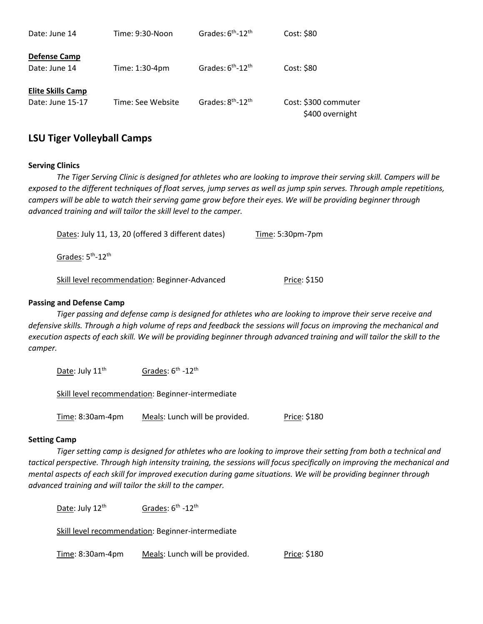| Date: June 14                                | Time: 9:30-Noon   | Grades: 6 <sup>th</sup> -12 <sup>th</sup> | Cost: \$80                              |
|----------------------------------------------|-------------------|-------------------------------------------|-----------------------------------------|
| <b>Defense Camp</b><br>Date: June 14         | Time: 1:30-4pm    | Grades: 6 <sup>th</sup> -12 <sup>th</sup> | Cost: \$80                              |
| <b>Elite Skills Camp</b><br>Date: June 15-17 | Time: See Website | Grades: 8 <sup>th</sup> -12 <sup>th</sup> | Cost: \$300 commuter<br>\$400 overnight |

# **LSU Tiger Volleyball Camps**

#### **Serving Clinics**

*The Tiger Serving Clinic is designed for athletes who are looking to improve their serving skill. Campers will be exposed to the different techniques of float serves, jump serves as well as jump spin serves. Through ample repetitions, campers will be able to watch their serving game grow before their eyes. We will be providing beginner through advanced training and will tailor the skill level to the camper.* 

| Dates: July 11, 13, 20 (offered 3 different dates) | Time: $5:30$ pm-7 $pm$ |
|----------------------------------------------------|------------------------|
| Grades: 5 <sup>th</sup> -12 <sup>th</sup>          |                        |
| Skill level recommendation: Beginner-Advanced      | Price: \$150           |

#### **Passing and Defense Camp**

*Tiger passing and defense camp is designed for athletes who are looking to improve their serve receive and defensive skills. Through a high volume of reps and feedback the sessions will focus on improving the mechanical and execution aspects of each skill. We will be providing beginner through advanced training and will tailor the skill to the camper.* 

Date: July 11<sup>th</sup> <sup>th</sup> -12<sup>th</sup>

Skill level recommendation: Beginner-intermediate

Time: 8:30am-4pm Meals: Lunch will be provided. Price: \$180

#### **Setting Camp**

*Tiger setting camp is designed for athletes who are looking to improve their setting from both a technical and tactical perspective. Through high intensity training, the sessions will focus specifically on improving the mechanical and mental aspects of each skill for improved execution during game situations. We will be providing beginner through advanced training and will tailor the skill to the camper.* 

Date: July 12<sup>th</sup> <sup>th</sup> Grades: 6<sup>th</sup> -12<sup>th</sup>

Skill level recommendation: Beginner-intermediate

Time: 8:30am-4pm Meals: Lunch will be provided. Price: \$180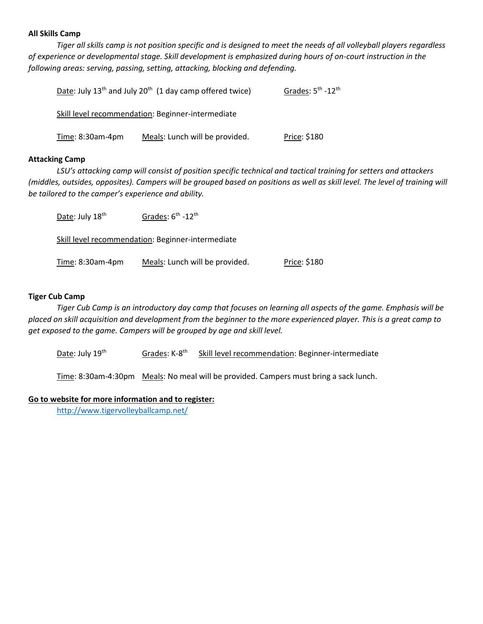#### **All Skills Camp**

*Tiger all skills camp is not position specific and is designed to meet the needs of all volleyball players regardless of experience or developmental stage. Skill development is emphasized during hours of on-court instruction in the following areas: serving, passing, setting, attacking, blocking and defending.* 

|                     | Date: July 13 <sup>th</sup> and July 20 <sup>th</sup> (1 day camp offered twice) | Grades: 5 <sup>th</sup> -12 <sup>th</sup> |
|---------------------|----------------------------------------------------------------------------------|-------------------------------------------|
|                     | Skill level recommendation: Beginner-intermediate                                |                                           |
| Time: $8:30$ am-4pm | Meals: Lunch will be provided.                                                   | <u> Price</u> : \$180                     |

#### **Attacking Camp**

*LSU's attacking camp will consist of position specific technical and tactical training for setters and attackers (middles, outsides, opposites). Campers will be grouped based on positions as well as skill level. The level of training will be tailored to the camper's experience and ability.* 

| Date: July 18th  | Grades: 6 <sup>th</sup> -12 <sup>th</sup>         |              |
|------------------|---------------------------------------------------|--------------|
|                  | Skill level recommendation: Beginner-intermediate |              |
| Time: 8:30am-4pm | Meals: Lunch will be provided.                    | Price: \$180 |

#### **Tiger Cub Camp**

*Tiger Cub Camp is an introductory day camp that focuses on learning all aspects of the game. Emphasis will be placed on skill acquisition and development from the beginner to the more experienced player. This is a great camp to get exposed to the game. Campers will be grouped by age and skill level.* 

Date: July  $19^{th}$  Grades: K-8<sup>th</sup> Skill level recommendation: Beginner-intermediate

Time: 8:30am-4:30pm Meals: No meal will be provided. Campers must bring a sack lunch.

#### **Go to website for more information and to register:**

<http://www.tigervolleyballcamp.net/>